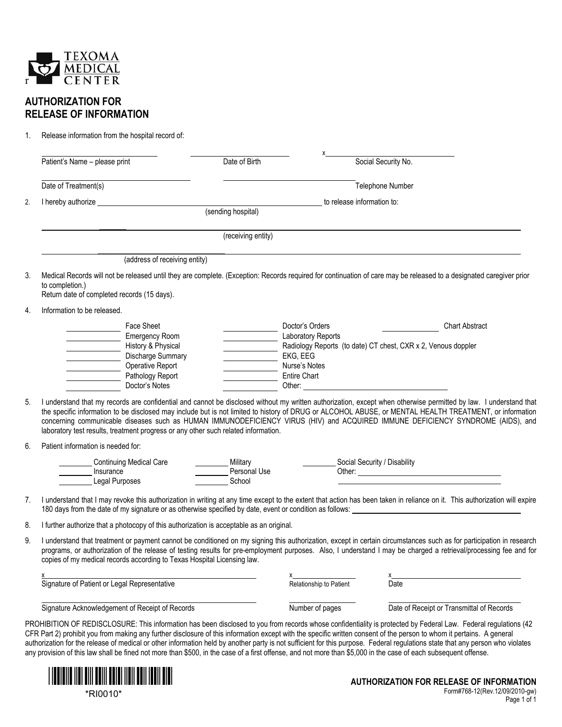

## **AUTHORIZATION FOR RELEASE OF INFORMATION**

1. Release information from the hospital record of:

|                | Patient's Name - please print                                                                                                                                     | Date of Birth                      |                                                                                                                                              | Social Security No.                                                                                                                                                                                                                                                                                                                                                                                                                                                      |
|----------------|-------------------------------------------------------------------------------------------------------------------------------------------------------------------|------------------------------------|----------------------------------------------------------------------------------------------------------------------------------------------|--------------------------------------------------------------------------------------------------------------------------------------------------------------------------------------------------------------------------------------------------------------------------------------------------------------------------------------------------------------------------------------------------------------------------------------------------------------------------|
|                | Date of Treatment(s)                                                                                                                                              |                                    |                                                                                                                                              | Telephone Number                                                                                                                                                                                                                                                                                                                                                                                                                                                         |
| 2.             |                                                                                                                                                                   |                                    | to release information to:                                                                                                                   |                                                                                                                                                                                                                                                                                                                                                                                                                                                                          |
|                |                                                                                                                                                                   | (receiving entity)                 |                                                                                                                                              |                                                                                                                                                                                                                                                                                                                                                                                                                                                                          |
|                | (address of receiving entity)                                                                                                                                     |                                    |                                                                                                                                              |                                                                                                                                                                                                                                                                                                                                                                                                                                                                          |
| 3.             | to completion.)<br>Return date of completed records (15 days).                                                                                                    |                                    |                                                                                                                                              | Medical Records will not be released until they are complete. (Exception: Records required for continuation of care may be released to a designated caregiver prior                                                                                                                                                                                                                                                                                                      |
| 4.             | Information to be released.                                                                                                                                       |                                    |                                                                                                                                              |                                                                                                                                                                                                                                                                                                                                                                                                                                                                          |
|                | Face Sheet<br>Emergency Room<br>History & Physical<br>Discharge Summary<br>Operative Report<br>Pathology Report<br>Doctor's Notes                                 |                                    | Doctor's Orders<br>Laboratory Reports<br>EKG, EEG<br>Nurse's Notes<br><b>Entire Chart</b><br>Other: <u>_________________________________</u> | <b>Chart Abstract</b><br>Radiology Reports (to date) CT chest, CXR x 2, Venous doppler                                                                                                                                                                                                                                                                                                                                                                                   |
|                | I understand that my records are confidential and cannot be disclosed without my written authorization, except when otherwise permitted by law. I understand that |                                    |                                                                                                                                              |                                                                                                                                                                                                                                                                                                                                                                                                                                                                          |
|                | laboratory test results, treatment progress or any other such related information.                                                                                |                                    |                                                                                                                                              |                                                                                                                                                                                                                                                                                                                                                                                                                                                                          |
|                | Patient information is needed for:                                                                                                                                |                                    |                                                                                                                                              |                                                                                                                                                                                                                                                                                                                                                                                                                                                                          |
|                | <b>Continuing Medical Care</b><br>Insurance<br><b>Legal Purposes</b>                                                                                              | Military<br>Personal Use<br>School |                                                                                                                                              | Social Security / Disability                                                                                                                                                                                                                                                                                                                                                                                                                                             |
| 5.<br>6.<br>7. | 180 days from the date of my signature or as otherwise specified by date, event or condition as follows:                                                          |                                    |                                                                                                                                              | the specific information to be disclosed may include but is not limited to history of DRUG or ALCOHOL ABUSE, or MENTAL HEALTH TREATMENT, or information<br>concerning communicable diseases such as HUMAN IMMUNODEFICIENCY VIRUS (HIV) and ACQUIRED IMMUNE DEFICIENCY SYNDROME (AIDS), and<br>I understand that I may revoke this authorization in writing at any time except to the extent that action has been taken in reliance on it. This authorization will expire |
|                | I further authorize that a photocopy of this authorization is acceptable as an original.                                                                          |                                    |                                                                                                                                              |                                                                                                                                                                                                                                                                                                                                                                                                                                                                          |
| 8.<br>9.       | copies of my medical records according to Texas Hospital Licensing law.                                                                                           |                                    |                                                                                                                                              |                                                                                                                                                                                                                                                                                                                                                                                                                                                                          |
|                | Signature of Patient or Legal Representative                                                                                                                      |                                    |                                                                                                                                              | I understand that treatment or payment cannot be conditioned on my signing this authorization, except in certain circumstances such as for participation in research<br>programs, or authorization of the release of testing results for pre-employment purposes. Also, I understand I may be charged a retrieval/processing fee and for<br>x <sup>1</sup><br>Date                                                                                                       |

CFR Part 2) prohibit you from making any further disclosure of this information except with the specific written consent of the person to whom it pertains. A general authorization for the release of medical or other information held by another party is not sufficient for this purpose. Federal regulations state that any person who violates any provision of this law shall be fined not more than \$500, in the case of a first offense, and not more than \$5,000 in the case of each subsequent offense.



\*RI0010\*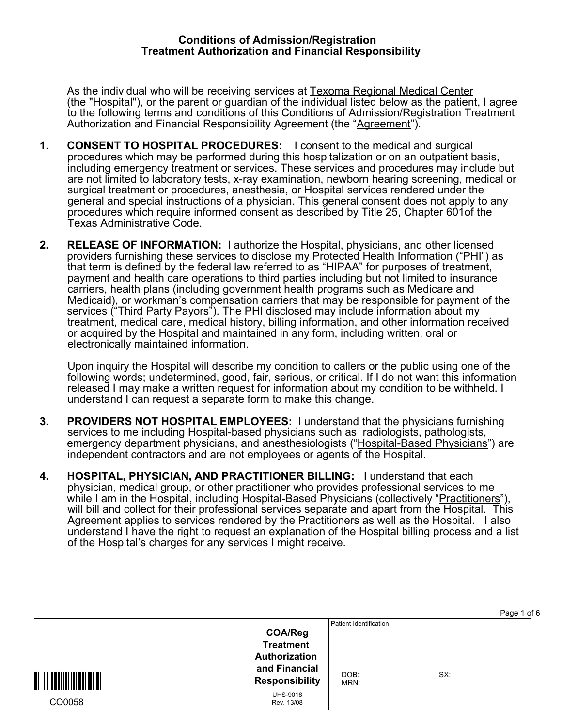## **Conditions of Admission/Registration Treatment Authorization and Financial Responsibility**

As the individual who will be receiving services at Texoma Regional Medical Center (the "Hospital"), or the parent or guardian of the individual listed below as the patient, I agree to the following terms and conditions of this Conditions of Admission/Registration Treatment Authorization and Financial Responsibility Agreement (the "Agreement").

- **1. CONSENT TO HOSPITAL PROCEDURES:** I consent to the medical and surgical procedures which may be performed during this hospitalization or on an outpatient basis, including emergency treatment or services. These services and procedures may include but are not limited to laboratory tests, x-ray examination, newborn hearing screening, medical or surgical treatment or procedures, anesthesia, or Hospital services rendered under the general and special instructions of a physician. This general consent does not apply to any procedures which require informed consent as described by Title 25, Chapter 601of the Texas Administrative Code.
- **2. RELEASE OF INFORMATION:** I authorize the Hospital, physicians, and other licensed providers furnishing these services to disclose my Protected Health Information ("PHI") as that term is defined by the federal law referred to as "HIPAA" for purposes of treatment, payment and health care operations to third parties including but not limited to insurance carriers, health plans (including government health programs such as Medicare and Medicaid), or workman's compensation carriers that may be responsible for payment of the services ("Third Party Payors"). The PHI disclosed may include information about my treatment, medical care, medical history, billing information, and other information received or acquired by the Hospital and maintained in any form, including written, oral or electronically maintained information.

 Upon inquiry the Hospital will describe my condition to callers or the public using one of the following words; undetermined, good, fair, serious, or critical. If I do not want this information released I may make a written request for information about my condition to be withheld. I understand I can request a separate form to make this change.

- **3. PROVIDERS NOT HOSPITAL EMPLOYEES:** I understand that the physicians furnishing services to me including Hospital-based physicians such as radiologists, pathologists, emergency department physicians, and anesthesiologists ("Hospital-Based Physicians") are independent contractors and are not employees or agents of the Hospital.
- **4. HOSPITAL, PHYSICIAN, AND PRACTITIONER BILLING:** I understand that each physician, medical group, or other practitioner who provides professional services to me while I am in the Hospital, including Hospital-Based Physicians (collectively "Practitioners"), will bill and collect for their professional services separate and apart from the Hospital. This Agreement applies to services rendered by the Practitioners as well as the Hospital. I also understand I have the right to request an explanation of the Hospital billing process and a list of the Hospital's charges for any services I might receive.

| <b>COA/Reg</b><br><b>Treatment</b><br>Authorization<br>and Financial<br>DOB:<br><b>Responsibility</b><br>MRN:<br><b>UHS-9018</b><br>CO0058<br>Rev. 13/08 | SX: |
|----------------------------------------------------------------------------------------------------------------------------------------------------------|-----|
|----------------------------------------------------------------------------------------------------------------------------------------------------------|-----|

Page 1 of 6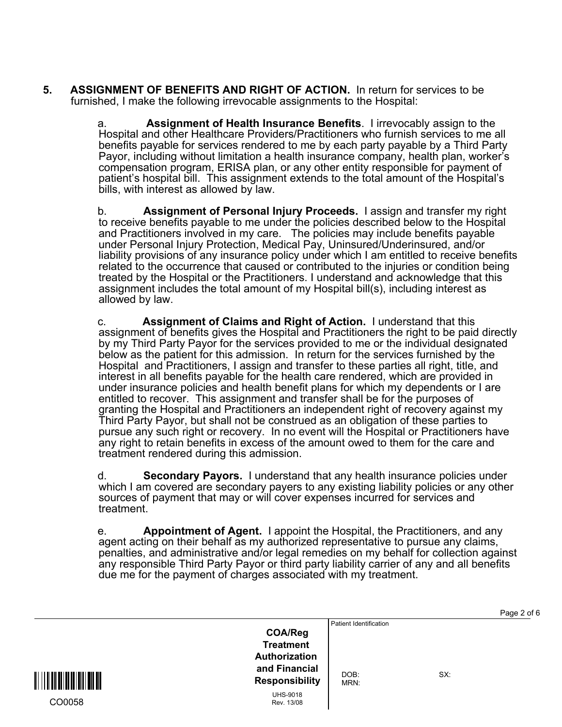**5. ASSIGNMENT OF BENEFITS AND RIGHT OF ACTION.** In return for services to be furnished, I make the following irrevocable assignments to the Hospital:

> a. **Assignment of Health Insurance Benefits**. I irrevocably assign to the Hospital and other Healthcare Providers/Practitioners who furnish services to me all benefits payable for services rendered to me by each party payable by a Third Party Payor, including without limitation a health insurance company, health plan, worker's compensation program, ERISA plan, or any other entity responsible for payment of patient's hospital bill. This assignment extends to the total amount of the Hospital's bills, with interest as allowed by law.

b. **Assignment of Personal Injury Proceeds.** I assign and transfer my right to receive benefits payable to me under the policies described below to the Hospital and Practitioners involved in my care. The policies may include benefits payable under Personal Injury Protection, Medical Pay, Uninsured/Underinsured, and/or liability provisions of any insurance policy under which I am entitled to receive benefits related to the occurrence that caused or contributed to the injuries or condition being treated by the Hospital or the Practitioners. I understand and acknowledge that this assignment includes the total amount of my Hospital bill(s), including interest as allowed by law.

c. **Assignment of Claims and Right of Action.** I understand that this assignment of benefits gives the Hospital and Practitioners the right to be paid directly by my Third Party Payor for the services provided to me or the individual designated below as the patient for this admission. In return for the services furnished by the Hospital and Practitioners, I assign and transfer to these parties all right, title, and interest in all benefits payable for the health care rendered, which are provided in under insurance policies and health benefit plans for which my dependents or I are entitled to recover. This assignment and transfer shall be for the purposes of granting the Hospital and Practitioners an independent right of recovery against my Third Party Payor, but shall not be construed as an obligation of these parties to pursue any such right or recovery. In no event will the Hospital or Practitioners have any right to retain benefits in excess of the amount owed to them for the care and treatment rendered during this admission.

d. **Secondary Payors.** I understand that any health insurance policies under which I am covered are secondary payers to any existing liability policies or any other sources of payment that may or will cover expenses incurred for services and treatment.

e. **Appointment of Agent.** I appoint the Hospital, the Practitioners, and any agent acting on their behalf as my authorized representative to pursue any claims, penalties, and administrative and/or legal remedies on my behalf for collection against any responsible Third Party Payor or third party liability carrier of any and all benefits due me for the payment of charges associated with my treatment.

Page 2 of 6

|                                                                                                                                          |                                        |     | i uyu 4 Ui U |
|------------------------------------------------------------------------------------------------------------------------------------------|----------------------------------------|-----|--------------|
| <b>COA/Reg</b><br><b>Treatment</b><br>Authorization<br>and Financial<br><b>Responsibility</b><br><b>UHS-9018</b><br>CO0058<br>Rev. 13/08 | Patient Identification<br>DOB:<br>MRN: | SX: |              |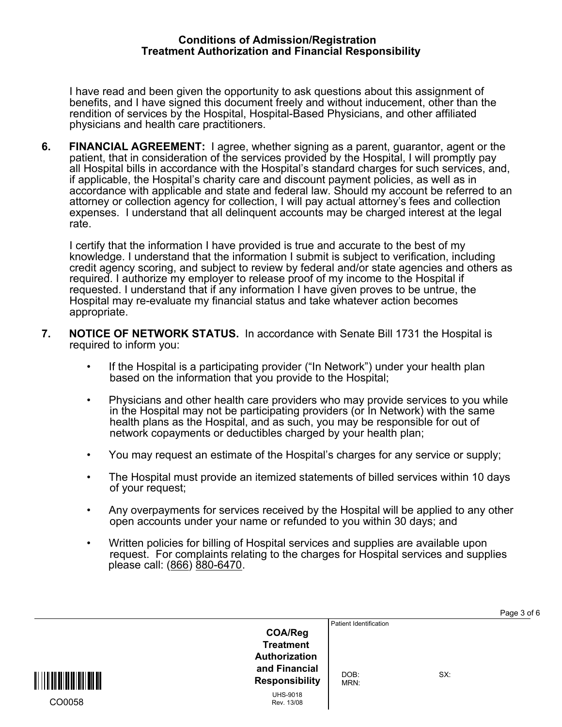## **Conditions of Admission/Registration Treatment Authorization and Financial Responsibility**

 I have read and been given the opportunity to ask questions about this assignment of benefits, and I have signed this document freely and without inducement, other than the rendition of services by the Hospital, Hospital-Based Physicians, and other affiliated physicians and health care practitioners.

**6. FINANCIAL AGREEMENT:** I agree, whether signing as a parent, guarantor, agent or the patient, that in consideration of the services provided by the Hospital, I will promptly pay all Hospital bills in accordance with the Hospital's standard charges for such services, and, if applicable, the Hospital's charity care and discount payment policies, as well as in accordance with applicable and state and federal law. Should my account be referred to an attorney or collection agency for collection, I will pay actual attorney's fees and collection expenses. I understand that all delinquent accounts may be charged interest at the legal rate.

 I certify that the information I have provided is true and accurate to the best of my knowledge. I understand that the information I submit is subject to verification, including credit agency scoring, and subject to review by federal and/or state agencies and others as required. I authorize my employer to release proof of my income to the Hospital if requested. I understand that if any information I have given proves to be untrue, the Hospital may re-evaluate my financial status and take whatever action becomes appropriate.

- **7. NOTICE OF NETWORK STATUS.** In accordance with Senate Bill 1731 the Hospital is required to inform you:
	- If the Hospital is a participating provider ("In Network") under your health plan based on the information that you provide to the Hospital;
	- Physicians and other health care providers who may provide services to you while in the Hospital may not be participating providers (or In Network) with the same health plans as the Hospital, and as such, you may be responsible for out of network copayments or deductibles charged by your health plan;
	- You may request an estimate of the Hospital's charges for any service or supply;
	- The Hospital must provide an itemized statements of billed services within 10 days of your request;
	- Any overpayments for services received by the Hospital will be applied to any other open accounts under your name or refunded to you within 30 days; and
	- Written policies for billing of Hospital services and supplies are available upon request. For complaints relating to the charges for Hospital services and supplies please call: (866) 880-6470.

Page 3 of 6

|               |                                                                                                                                |                                        | .   |
|---------------|--------------------------------------------------------------------------------------------------------------------------------|----------------------------------------|-----|
| WWW<br>CO0058 | <b>COA/Reg</b><br><b>Treatment</b><br>Authorization<br>and Financial<br><b>Responsibility</b><br><b>UHS-9018</b><br>Rev. 13/08 | Patient Identification<br>DOB:<br>MRN: | SX: |
|               |                                                                                                                                |                                        |     |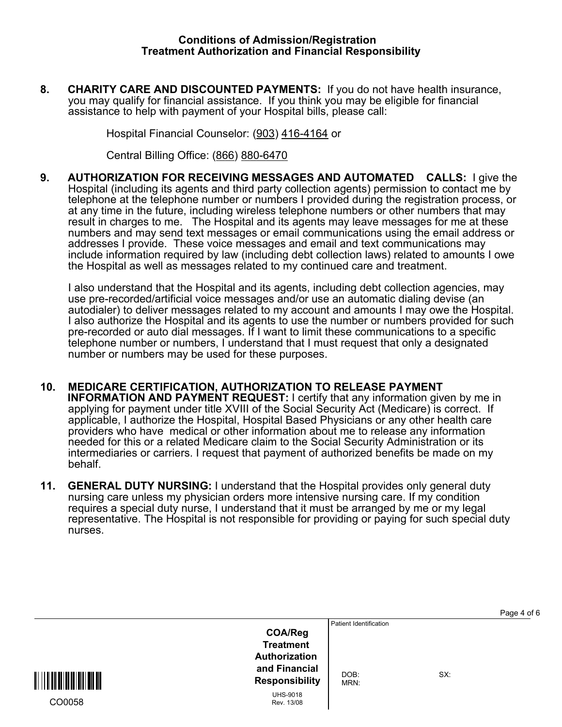**8. CHARITY CARE AND DISCOUNTED PAYMENTS:** If you do not have health insurance, you may qualify for financial assistance. If you think you may be eligible for financial assistance to help with payment of your Hospital bills, please call:

Hospital Financial Counselor: (903) 416-4164 or

Central Billing Office: (866) 880-6470

**9. AUTHORIZATION FOR RECEIVING MESSAGES AND AUTOMATED CALLS:** I give the Hospital (including its agents and third party collection agents) permission to contact me by telephone at the telephone number or numbers I provided during the registration process, or at any time in the future, including wireless telephone numbers or other numbers that may result in charges to me. The Hospital and its agents may leave messages for me at these numbers and may send text messages or email communications using the email address or addresses I provide. These voice messages and email and text communications may include information required by law (including debt collection laws) related to amounts I owe the Hospital as well as messages related to my continued care and treatment.

 I also understand that the Hospital and its agents, including debt collection agencies, may use pre-recorded/artificial voice messages and/or use an automatic dialing devise (an autodialer) to deliver messages related to my account and amounts I may owe the Hospital. I also authorize the Hospital and its agents to use the number or numbers provided for such pre-recorded or auto dial messages. If I want to limit these communications to a specific telephone number or numbers, I understand that I must request that only a designated number or numbers may be used for these purposes.

- **10. MEDICARE CERTIFICATION, AUTHORIZATION TO RELEASE PAYMENT INFORMATION AND PAYMENT REQUEST:** I certify that any information given by me in applying for payment under title XVIII of the Social Security Act (Medicare) is correct. If applicable, I authorize the Hospital, Hospital Based Physicians or any other health care providers who have medical or other information about me to release any information needed for this or a related Medicare claim to the Social Security Administration or its intermediaries or carriers. I request that payment of authorized benefits be made on my behalf.
- **11. GENERAL DUTY NURSING:** I understand that the Hospital provides only general duty nursing care unless my physician orders more intensive nursing care. If my condition requires a special duty nurse, I understand that it must be arranged by me or my legal representative. The Hospital is not responsible for providing or paying for such special duty nurses.

| <b>COA/Reg</b><br><b>Treatment</b><br><b>Authorization</b><br>and Financial<br><b>Responsibility</b><br><b>UHS-9018</b><br>CO0058<br>Rev. 13/08 | Patient Identification<br>DOB:<br>MRN: | SX: |
|-------------------------------------------------------------------------------------------------------------------------------------------------|----------------------------------------|-----|
|-------------------------------------------------------------------------------------------------------------------------------------------------|----------------------------------------|-----|

Page 4 of 6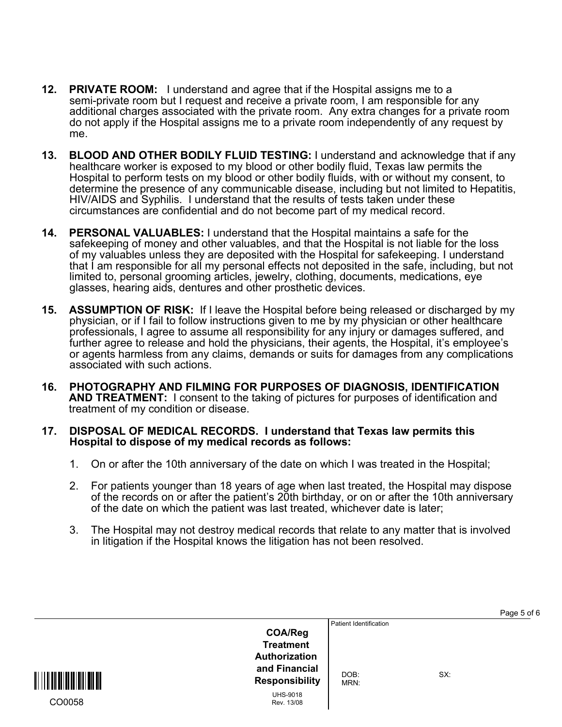- **12. PRIVATE ROOM:** I understand and agree that if the Hospital assigns me to a semi-private room but I request and receive a private room, I am responsible for any additional charges associated with the private room. Any extra changes for a private room do not apply if the Hospital assigns me to a private room independently of any request by me.
- **13. BLOOD AND OTHER BODILY FLUID TESTING:** I understand and acknowledge that if any healthcare worker is exposed to my blood or other bodily fluid, Texas law permits the Hospital to perform tests on my blood or other bodily fluids, with or without my consent, to determine the presence of any communicable disease, including but not limited to Hepatitis, HIV/AIDS and Syphilis. I understand that the results of tests taken under these circumstances are confidential and do not become part of my medical record.
- **14. PERSONAL VALUABLES:** I understand that the Hospital maintains a safe for the safekeeping of money and other valuables, and that the Hospital is not liable for the loss of my valuables unless they are deposited with the Hospital for safekeeping. I understand that I am responsible for all my personal effects not deposited in the safe, including, but not limited to, personal grooming articles, jewelry, clothing, documents, medications, eye glasses, hearing aids, dentures and other prosthetic devices.
- **15. ASSUMPTION OF RISK:** If I leave the Hospital before being released or discharged by my physician, or if I fail to follow instructions given to me by my physician or other healthcare professionals, I agree to assume all responsibility for any injury or damages suffered, and further agree to release and hold the physicians, their agents, the Hospital, it's employee's or agents harmless from any claims, demands or suits for damages from any complications associated with such actions.
- **16. PHOTOGRAPHY AND FILMING FOR PURPOSES OF DIAGNOSIS, IDENTIFICATION AND TREATMENT:** I consent to the taking of pictures for purposes of identification and treatment of my condition or disease.
- **17. DISPOSAL OF MEDICAL RECORDS. I understand that Texas law permits this Hospital to dispose of my medical records as follows:**
	- 1. On or after the 10th anniversary of the date on which I was treated in the Hospital;
	- 2. For patients younger than 18 years of age when last treated, the Hospital may dispose of the records on or after the patient's 20th birthday, or on or after the 10th anniversary of the date on which the patient was last treated, whichever date is later;
	- 3. The Hospital may not destroy medical records that relate to any matter that is involved in litigation if the Hospital knows the litigation has not been resolved.

| Patient Identification<br><b>COA/Reg</b><br><b>Treatment</b><br>Authorization<br>and Financial<br>DOB:<br><u> III III III III III III</u><br><b>Responsibility</b><br>MRN:<br><b>UHS-9018</b><br>CO0058<br>Rev. 13/08 | SX: |
|-----------------------------------------------------------------------------------------------------------------------------------------------------------------------------------------------------------------------|-----|
|-----------------------------------------------------------------------------------------------------------------------------------------------------------------------------------------------------------------------|-----|

Page 5 of 6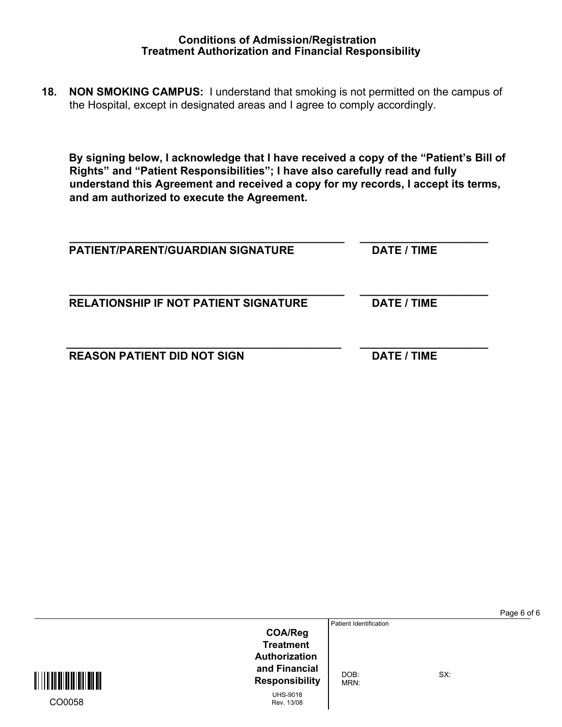**18. NON SMOKING CAMPUS:** I understand that smoking is not permitted on the campus of the Hospital, except in designated areas and I agree to comply accordingly.

**By signing below, I acknowledge that I have received a copy of the "Patient's Bill of Rights" and "Patient Responsibilities"; I have also carefully read and fully understand this Agreement and received a copy for my records, I accept its terms, and am authorized to execute the Agreement.** 

| <b>PATIENT/PARENT/GUARDIAN SIGNATURE</b>     | DATE / TIME |
|----------------------------------------------|-------------|
| <b>RELATIONSHIP IF NOT PATIENT SIGNATURE</b> | DATE / TIME |
| <b>REASON PATIENT DID NOT SIGN</b>           | DATE / TIME |

Page 6 of 6

Patient Identification

**Responsibility** DOB:<br>**Responsibility** MRN MRN:

UHS-9018 Rev. 13/08

**COA/Reg Treatment Authorization and Financial**

SX:

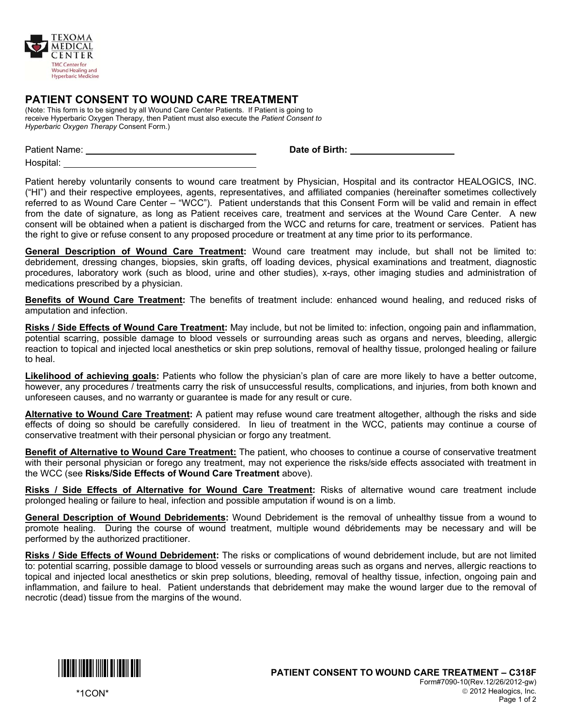

## **PATIENT CONSENT TO WOUND CARE TREATMENT**

(Note: This form is to be signed by all Wound Care Center Patients. If Patient is going to receive Hyperbaric Oxygen Therapy, then Patient must also execute the *Patient Consent to Hyperbaric Oxygen Therapy* Consent Form.)

Hospital:

Patient Name: **Date of Birth:** 

Patient hereby voluntarily consents to wound care treatment by Physician, Hospital and its contractor HEALOGICS, INC. ("HI") and their respective employees, agents, representatives, and affiliated companies (hereinafter sometimes collectively referred to as Wound Care Center – "WCC"). Patient understands that this Consent Form will be valid and remain in effect from the date of signature, as long as Patient receives care, treatment and services at the Wound Care Center. A new consent will be obtained when a patient is discharged from the WCC and returns for care, treatment or services. Patient has the right to give or refuse consent to any proposed procedure or treatment at any time prior to its performance.

**General Description of Wound Care Treatment:** Wound care treatment may include, but shall not be limited to: debridement, dressing changes, biopsies, skin grafts, off loading devices, physical examinations and treatment, diagnostic procedures, laboratory work (such as blood, urine and other studies), x-rays, other imaging studies and administration of medications prescribed by a physician.

**Benefits of Wound Care Treatment:** The benefits of treatment include: enhanced wound healing, and reduced risks of amputation and infection.

**Risks / Side Effects of Wound Care Treatment:** May include, but not be limited to: infection, ongoing pain and inflammation, potential scarring, possible damage to blood vessels or surrounding areas such as organs and nerves, bleeding, allergic reaction to topical and injected local anesthetics or skin prep solutions, removal of healthy tissue, prolonged healing or failure to heal.

**Likelihood of achieving goals:** Patients who follow the physician's plan of care are more likely to have a better outcome, however, any procedures / treatments carry the risk of unsuccessful results, complications, and injuries, from both known and unforeseen causes, and no warranty or guarantee is made for any result or cure.

**Alternative to Wound Care Treatment:** A patient may refuse wound care treatment altogether, although the risks and side effects of doing so should be carefully considered. In lieu of treatment in the WCC, patients may continue a course of conservative treatment with their personal physician or forgo any treatment.

**Benefit of Alternative to Wound Care Treatment:** The patient, who chooses to continue a course of conservative treatment with their personal physician or forego any treatment, may not experience the risks/side effects associated with treatment in the WCC (see **Risks/Side Effects of Wound Care Treatment** above).

**Risks / Side Effects of Alternative for Wound Care Treatment:** Risks of alternative wound care treatment include prolonged healing or failure to heal, infection and possible amputation if wound is on a limb.

**General Description of Wound Debridements:** Wound Debridement is the removal of unhealthy tissue from a wound to promote healing. During the course of wound treatment, multiple wound débridements may be necessary and will be performed by the authorized practitioner.

**Risks / Side Effects of Wound Debridement:** The risks or complications of wound debridement include, but are not limited to: potential scarring, possible damage to blood vessels or surrounding areas such as organs and nerves, allergic reactions to topical and injected local anesthetics or skin prep solutions, bleeding, removal of healthy tissue, infection, ongoing pain and inflammation, and failure to heal. Patient understands that debridement may make the wound larger due to the removal of necrotic (dead) tissue from the margins of the wound.



\*1CON\*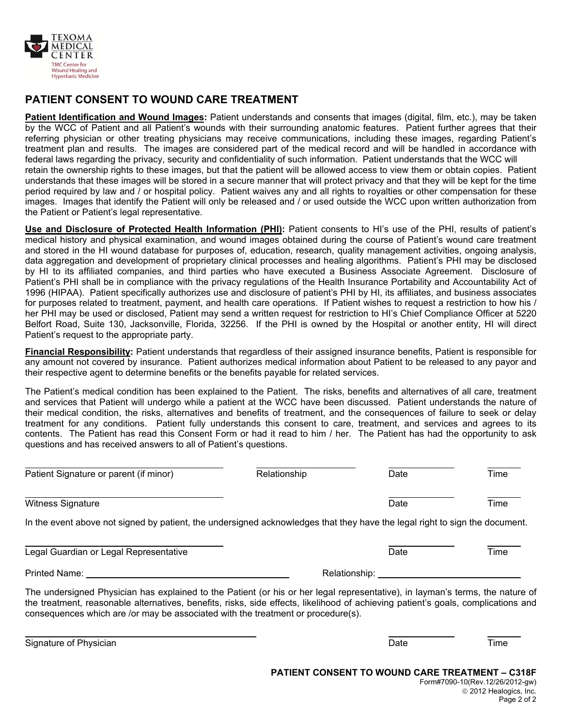

## **PATIENT CONSENT TO WOUND CARE TREATMENT**

**Patient Identification and Wound Images:** Patient understands and consents that images (digital, film, etc.), may be taken by the WCC of Patient and all Patient's wounds with their surrounding anatomic features. Patient further agrees that their referring physician or other treating physicians may receive communications, including these images, regarding Patient's treatment plan and results. The images are considered part of the medical record and will be handled in accordance with federal laws regarding the privacy, security and confidentiality of such information. Patient understands that the WCC will retain the ownership rights to these images, but that the patient will be allowed access to view them or obtain copies. Patient understands that these images will be stored in a secure manner that will protect privacy and that they will be kept for the time period required by law and / or hospital policy. Patient waives any and all rights to royalties or other compensation for these images. Images that identify the Patient will only be released and / or used outside the WCC upon written authorization from the Patient or Patient's legal representative.

**Use and Disclosure of Protected Health Information (PHI):** Patient consents to HI's use of the PHI, results of patient's medical history and physical examination, and wound images obtained during the course of Patient's wound care treatment and stored in the HI wound database for purposes of, education, research, quality management activities, ongoing analysis, data aggregation and development of proprietary clinical processes and healing algorithms. Patient's PHI may be disclosed by HI to its affiliated companies, and third parties who have executed a Business Associate Agreement. Disclosure of Patient's PHI shall be in compliance with the privacy regulations of the Health Insurance Portability and Accountability Act of 1996 (HIPAA). Patient specifically authorizes use and disclosure of patient's PHI by HI, its affiliates, and business associates for purposes related to treatment, payment, and health care operations. If Patient wishes to request a restriction to how his / her PHI may be used or disclosed, Patient may send a written request for restriction to HI's Chief Compliance Officer at 5220 Belfort Road, Suite 130, Jacksonville, Florida, 32256. If the PHI is owned by the Hospital or another entity, HI will direct Patient's request to the appropriate party.

**Financial Responsibility:** Patient understands that regardless of their assigned insurance benefits, Patient is responsible for any amount not covered by insurance. Patient authorizes medical information about Patient to be released to any payor and their respective agent to determine benefits or the benefits payable for related services.

The Patient's medical condition has been explained to the Patient. The risks, benefits and alternatives of all care, treatment and services that Patient will undergo while a patient at the WCC have been discussed. Patient understands the nature of their medical condition, the risks, alternatives and benefits of treatment, and the consequences of failure to seek or delay treatment for any conditions. Patient fully understands this consent to care, treatment, and services and agrees to its contents. The Patient has read this Consent Form or had it read to him / her. The Patient has had the opportunity to ask questions and has received answers to all of Patient's questions.

| Patient Signature or parent (if minor)                                                                                      | Relationship | Date | Time |
|-----------------------------------------------------------------------------------------------------------------------------|--------------|------|------|
| <b>Witness Signature</b>                                                                                                    |              | Date | Time |
| In the event above not signed by patient, the undersigned acknowledges that they have the legal right to sign the document. |              |      |      |

 $\overline{a}$ Legal Guardian or Legal Representative **Date** Date **Date** Time

Printed Name: **Relationship:** Relationship:

 $\overline{a}$ 

The undersigned Physician has explained to the Patient (or his or her legal representative), in layman's terms, the nature of the treatment, reasonable alternatives, benefits, risks, side effects, likelihood of achieving patient's goals, complications and consequences which are /or may be associated with the treatment or procedure(s).

Signature of Physician **Date** Time **The Signature of Physician** Date **Time** Date **Time**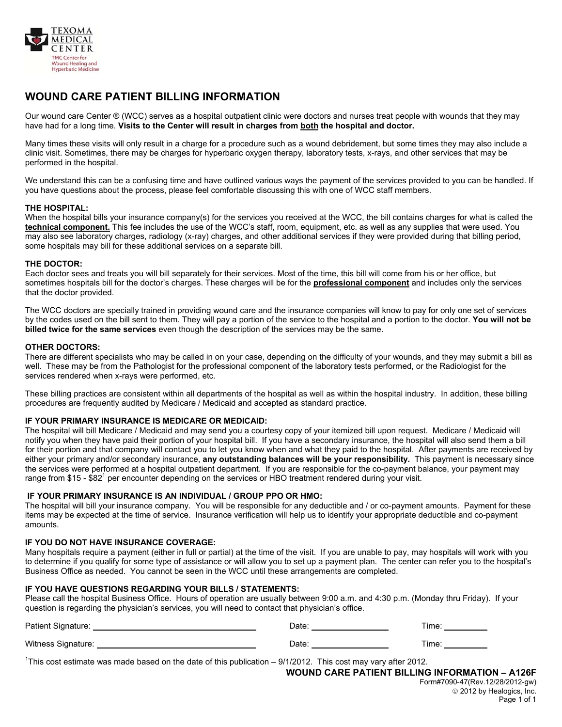

# **WOUND CARE PATIENT BILLING INFORMATION**

Our wound care Center ® (WCC) serves as a hospital outpatient clinic were doctors and nurses treat people with wounds that they may have had for a long time. **Visits to the Center will result in charges from both the hospital and doctor.**

Many times these visits will only result in a charge for a procedure such as a wound debridement, but some times they may also include a clinic visit. Sometimes, there may be charges for hyperbaric oxygen therapy, laboratory tests, x-rays, and other services that may be performed in the hospital.

We understand this can be a confusing time and have outlined various ways the payment of the services provided to you can be handled. If you have questions about the process, please feel comfortable discussing this with one of WCC staff members.

#### **THE HOSPITAL:**

When the hospital bills your insurance company(s) for the services you received at the WCC, the bill contains charges for what is called the **technical component.** This fee includes the use of the WCC's staff, room, equipment, etc. as well as any supplies that were used. You may also see laboratory charges, radiology (x-ray) charges, and other additional services if they were provided during that billing period, some hospitals may bill for these additional services on a separate bill.

#### **THE DOCTOR:**

Each doctor sees and treats you will bill separately for their services. Most of the time, this bill will come from his or her office, but sometimes hospitals bill for the doctor's charges. These charges will be for the **professional component** and includes only the services that the doctor provided.

The WCC doctors are specially trained in providing wound care and the insurance companies will know to pay for only one set of services by the codes used on the bill sent to them. They will pay a portion of the service to the hospital and a portion to the doctor. **You will not be billed twice for the same services** even though the description of the services may be the same.

#### **OTHER DOCTORS:**

There are different specialists who may be called in on your case, depending on the difficulty of your wounds, and they may submit a bill as well. These may be from the Pathologist for the professional component of the laboratory tests performed, or the Radiologist for the services rendered when x-rays were performed, etc.

These billing practices are consistent within all departments of the hospital as well as within the hospital industry. In addition, these billing procedures are frequently audited by Medicare / Medicaid and accepted as standard practice.

### **IF YOUR PRIMARY INSURANCE IS MEDICARE OR MEDICAID:**

The hospital will bill Medicare / Medicaid and may send you a courtesy copy of your itemized bill upon request. Medicare / Medicaid will notify you when they have paid their portion of your hospital bill. If you have a secondary insurance, the hospital will also send them a bill for their portion and that company will contact you to let you know when and what they paid to the hospital. After payments are received by either your primary and/or secondary insurance, **any outstanding balances will be your responsibility.** This payment is necessary since the services were performed at a hospital outpatient department. If you are responsible for the co-payment balance, your payment may range from \$15 - \$82<sup>1</sup> per encounter depending on the services or HBO treatment rendered during your visit.

### **IF YOUR PRIMARY INSURANCE IS AN INDIVIDUAL / GROUP PPO OR HMO:**

The hospital will bill your insurance company. You will be responsible for any deductible and / or co-payment amounts. Payment for these items may be expected at the time of service. Insurance verification will help us to identify your appropriate deductible and co-payment amounts.

#### **IF YOU DO NOT HAVE INSURANCE COVERAGE:**

Many hospitals require a payment (either in full or partial) at the time of the visit. If you are unable to pay, may hospitals will work with you to determine if you qualify for some type of assistance or will allow you to set up a payment plan. The center can refer you to the hospital's Business Office as needed. You cannot be seen in the WCC until these arrangements are completed.

#### **IF YOU HAVE QUESTIONS REGARDING YOUR BILLS / STATEMENTS:**

Please call the hospital Business Office. Hours of operation are usually between 9:00 a.m. and 4:30 p.m. (Monday thru Friday). If your question is regarding the physician's services, you will need to contact that physician's office.

Patient Signature: Date: Time: Witness Signature: The Contract of the Contract of Contract of Contract of Contract of Contract of Contract of Contract of Contract of Contract of Contract of Contract of Contract of Contract of Contract of Contract of Con

<sup>1</sup>This cost estimate was made based on the date of this publication  $-9/1/2012$ . This cost may vary after 2012.

**WOUND CARE PATIENT BILLING INFORMATION – A126F**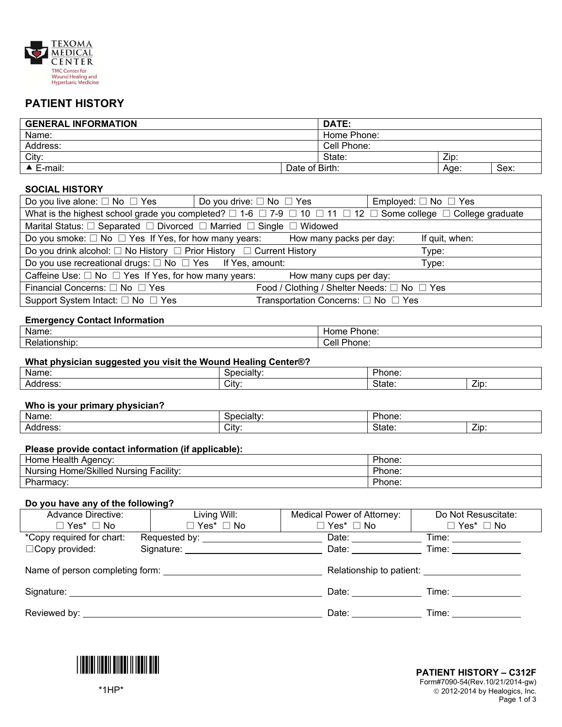

## **PATIENT HISTORY**

| <b>GENERAL INFORMATION</b> |                | DATE:       |      |      |
|----------------------------|----------------|-------------|------|------|
| Name:                      |                | Home Phone: |      |      |
| Address:                   |                | Cell Phone: |      |      |
| City:                      |                | State:      | Zip: |      |
| $\triangle$ E-mail:        | Date of Birth: |             | Age: | Sex: |

### **SOCIAL HISTORY**

| Do you live alone: $\square$ No $\square$ Yes                                                                                                   | Do you drive: $\Box$ No $\Box$ Yes                                                                       |  |  | Employed: $\Box$ No $\Box$ Yes |  |  |
|-------------------------------------------------------------------------------------------------------------------------------------------------|----------------------------------------------------------------------------------------------------------|--|--|--------------------------------|--|--|
| What is the highest school grade you completed? $\Box$ 1-6 $\Box$ 7-9 $\Box$ 10 $\Box$ 11 $\Box$ 12 $\Box$ Some college $\Box$ College graduate |                                                                                                          |  |  |                                |  |  |
| Marital Status: □ Separated □ Divorced □ Married □ Single □ Widowed                                                                             |                                                                                                          |  |  |                                |  |  |
|                                                                                                                                                 | Do you smoke: $\Box$ No $\Box$ Yes If Yes, for how many years: How many packs per day:<br>If quit, when: |  |  |                                |  |  |
| Do you drink alcohol: $\Box$ No History $\Box$ Prior History $\Box$ Current History<br>Type:                                                    |                                                                                                          |  |  |                                |  |  |
| Do you use recreational drugs: $\Box$ No $\Box$ Yes If Yes, amount:<br>Type:                                                                    |                                                                                                          |  |  |                                |  |  |
| Caffeine Use: $\Box$ No $\Box$ Yes If Yes, for how many years:<br>How many cups per day:                                                        |                                                                                                          |  |  |                                |  |  |
| Food / Clothing / Shelter Needs: □ No □ Yes<br>Financial Concerns: □ No □ Yes                                                                   |                                                                                                          |  |  |                                |  |  |
| Transportation Concerns: □ No □ Yes<br>Support System Intact: $\square$ No $\square$ Yes                                                        |                                                                                                          |  |  |                                |  |  |

### **Emergency Contact Information**

| Name.   | -<br>'hone.<br>⊣or<br>- اك |
|---------|----------------------------|
| n.,     | <b>DL</b>                  |
| ionshid | Cell                       |
| чатк    | 'hone:                     |

### **What physician suggested you visit the Wound Healing Center®?**

| ---<br>Name:      | udll  | . הורי<br>hone: |     |
|-------------------|-------|-----------------|-----|
| . .<br>- Address. | City: | State.          | ∠ip |

### **Who is your primary physician?**

| . .<br>Name. | udil  | ,,<br>hone. |           |
|--------------|-------|-------------|-----------|
| Address.     | City: | State.      | _<br>ZID. |

### **Please provide contact information (if applicable):**

| Health<br>Home<br>Agency:                                   | Phone: |
|-------------------------------------------------------------|--------|
| Facility <sup>-</sup><br>Home/Skilled<br>Nursing<br>Nursina | Phone: |
| Pharmacy:                                                   | Phone: |

#### **Do you have any of the following?**

| <b>Advance Directive:</b> | Living Will:                                | Medical Power of Attorney:                                                                                                                                                                                                     | Do Not Resuscitate:                                                                                                                                                                                                            |  |  |
|---------------------------|---------------------------------------------|--------------------------------------------------------------------------------------------------------------------------------------------------------------------------------------------------------------------------------|--------------------------------------------------------------------------------------------------------------------------------------------------------------------------------------------------------------------------------|--|--|
| $\Box$ Yes* $\Box$ No     | $\Box$ Yes* $\Box$ No                       | $\square$ Yes* $\square$ No                                                                                                                                                                                                    | $\Box$ Yes* $\Box$ No                                                                                                                                                                                                          |  |  |
| *Copy required for chart: | Requested by: Nequested by:                 | Date:                                                                                                                                                                                                                          |                                                                                                                                                                                                                                |  |  |
| $\Box$ Copy provided:     | Signature: <u>_________________________</u> | Date: and the state of the state of the state of the state of the state of the state of the state of the state of the state of the state of the state of the state of the state of the state of the state of the state of the  | Time: __________                                                                                                                                                                                                               |  |  |
|                           |                                             |                                                                                                                                                                                                                                |                                                                                                                                                                                                                                |  |  |
|                           |                                             |                                                                                                                                                                                                                                | Relationship to patient: Network of Personal Assembly                                                                                                                                                                          |  |  |
|                           |                                             |                                                                                                                                                                                                                                |                                                                                                                                                                                                                                |  |  |
|                           |                                             | Date: the contract of the contract of the contract of the contract of the contract of the contract of the contract of the contract of the contract of the contract of the contract of the contract of the contract of the cont |                                                                                                                                                                                                                                |  |  |
|                           |                                             |                                                                                                                                                                                                                                |                                                                                                                                                                                                                                |  |  |
|                           |                                             | Date:                                                                                                                                                                                                                          | Time: The contract of the contract of the contract of the contract of the contract of the contract of the contract of the contract of the contract of the contract of the contract of the contract of the contract of the cont |  |  |

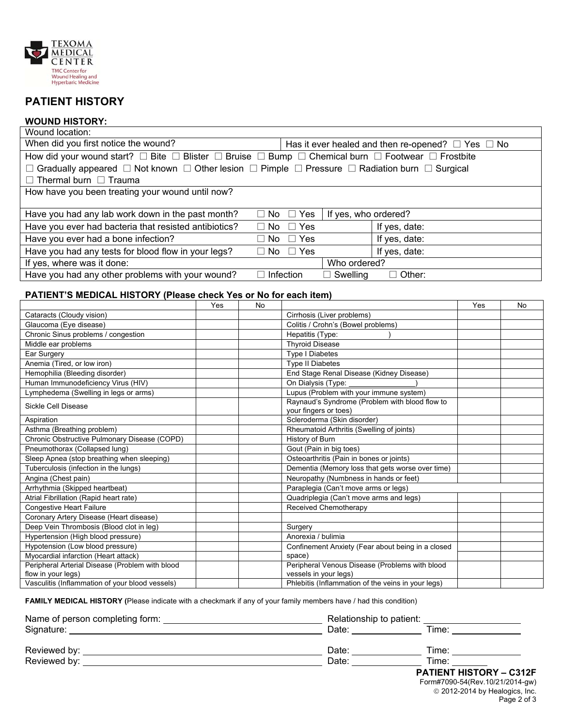

# **PATIENT HISTORY**

#### **WOUND HISTORY:**  Wound location:

| www.iu.uu.uu.i                                                                                                                     |     |                  |                                                                         |     |    |
|------------------------------------------------------------------------------------------------------------------------------------|-----|------------------|-------------------------------------------------------------------------|-----|----|
| When did you first notice the wound?<br>Has it ever healed and then re-opened? $\Box$ Yes $\Box$ No                                |     |                  |                                                                         |     |    |
|                                                                                                                                    |     |                  |                                                                         |     |    |
| $\Box$ Gradually appeared $\Box$ Not known $\Box$ Other lesion $\Box$ Pimple $\Box$ Pressure $\Box$ Radiation burn $\Box$ Surgical |     |                  |                                                                         |     |    |
| $\Box$ Thermal burn $\Box$ Trauma                                                                                                  |     |                  |                                                                         |     |    |
| How have you been treating your wound until now?                                                                                   |     |                  |                                                                         |     |    |
|                                                                                                                                    |     |                  |                                                                         |     |    |
| Have you had any lab work down in the past month?<br>$\Box$ No $\Box$ Yes<br>If yes, who ordered?                                  |     |                  |                                                                         |     |    |
| Have you ever had bacteria that resisted antibiotics?                                                                              |     | $\Box$ No        | $\Box$ Yes<br>If yes, date:                                             |     |    |
| Have you ever had a bone infection?                                                                                                |     |                  | $\Box$ No $\Box$ Yes<br>If yes, date:                                   |     |    |
| Have you had any tests for blood flow in your legs?                                                                                |     |                  | $\Box$ No $\Box$ Yes<br>If yes, date:                                   |     |    |
| If yes, where was it done:                                                                                                         |     |                  | Who ordered?                                                            |     |    |
| Have you had any other problems with your wound?                                                                                   |     | $\Box$ Infection | $\Box$ Other:<br>$\Box$ Swelling                                        |     |    |
|                                                                                                                                    |     |                  |                                                                         |     |    |
| PATIENT'S MEDICAL HISTORY (Please check Yes or No for each item)                                                                   |     |                  |                                                                         |     |    |
|                                                                                                                                    | Yes | <b>No</b>        |                                                                         | Yes | No |
| Cataracts (Cloudy vision)                                                                                                          |     |                  | Cirrhosis (Liver problems)                                              |     |    |
| Glaucoma (Eye disease)                                                                                                             |     |                  | Colitis / Crohn's (Bowel problems)                                      |     |    |
| Chronic Sinus problems / congestion                                                                                                |     |                  | Hepatitis (Type:                                                        |     |    |
| Middle ear problems                                                                                                                |     |                  | <b>Thyroid Disease</b>                                                  |     |    |
| Ear Surgery                                                                                                                        |     |                  | <b>Type I Diabetes</b>                                                  |     |    |
| Anemia (Tired, or low iron)                                                                                                        |     |                  | <b>Type II Diabetes</b>                                                 |     |    |
| Hemophilia (Bleeding disorder)                                                                                                     |     |                  | End Stage Renal Disease (Kidney Disease)                                |     |    |
| Human Immunodeficiency Virus (HIV)                                                                                                 |     |                  | On Dialysis (Type:                                                      |     |    |
| Lymphedema (Swelling in legs or arms)                                                                                              |     |                  | Lupus (Problem with your immune system)                                 |     |    |
| Sickle Cell Disease                                                                                                                |     |                  | Raynaud's Syndrome (Problem with blood flow to<br>your fingers or toes) |     |    |
| Aspiration                                                                                                                         |     |                  | Scleroderma (Skin disorder)                                             |     |    |
| Asthma (Breathing problem)                                                                                                         |     |                  | Rheumatoid Arthritis (Swelling of joints)                               |     |    |
| Chronic Obstructive Pulmonary Disease (COPD)                                                                                       |     |                  | History of Burn                                                         |     |    |
| Pneumothorax (Collapsed lung)                                                                                                      |     |                  | Gout (Pain in big toes)                                                 |     |    |
| Sleep Apnea (stop breathing when sleeping)                                                                                         |     |                  | Osteoarthritis (Pain in bones or joints)                                |     |    |
| Tuberculosis (infection in the lungs)                                                                                              |     |                  | Dementia (Memory loss that gets worse over time)                        |     |    |
| Angina (Chest pain)                                                                                                                |     |                  | Neuropathy (Numbness in hands or feet)                                  |     |    |
| Arrhythmia (Skipped heartbeat)                                                                                                     |     |                  | Paraplegia (Can't move arms or legs)                                    |     |    |
| Atrial Fibrillation (Rapid heart rate)                                                                                             |     |                  | Quadriplegia (Can't move arms and legs)                                 |     |    |
| <b>Congestive Heart Failure</b>                                                                                                    |     |                  | Received Chemotherapy                                                   |     |    |
| Coronary Artery Disease (Heart disease)                                                                                            |     |                  |                                                                         |     |    |
| Deep Vein Thrombosis (Blood clot in leg)                                                                                           |     |                  | Surgery                                                                 |     |    |
| Hypertension (High blood pressure)                                                                                                 |     |                  | Anorexia / bulimia                                                      |     |    |
| Hypotension (Low blood pressure)                                                                                                   |     |                  | Confinement Anxiety (Fear about being in a closed                       |     |    |
| Myocardial infarction (Heart attack)                                                                                               |     |                  | space)                                                                  |     |    |
| Peripheral Arterial Disease (Problem with blood                                                                                    |     |                  | Peripheral Venous Disease (Problems with blood                          |     |    |
| flow in your legs)                                                                                                                 |     |                  | vessels in your legs)                                                   |     |    |

**FAMILY MEDICAL HISTORY (**Please indicate with a checkmark if any of your family members have / had this condition)

Vasculitis (Inflammation of your blood vessels) <br>
Phlebitis (Inflammation of the veins in your legs)

| Name of person completing form: | Relationship to patient: |                |  |
|---------------------------------|--------------------------|----------------|--|
| Signature:                      | Date:                    | Time:          |  |
| Reviewed by:<br>Reviewed by:    | Date:<br>Date:           | Time:<br>Time: |  |

vessels in your legs)

### **PATIENT HISTORY – C312F**

T

Form#7090-54(Rev.10/21/2014-gw)  $@$  2012-2014 by Healogics, Inc. Page 2 of 3